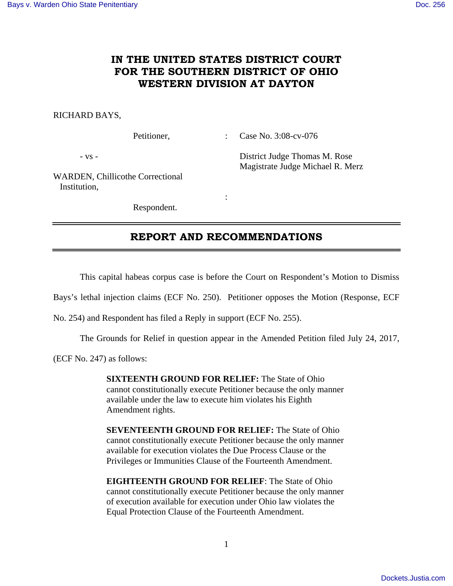# **IN THE UNITED STATES DISTRICT COURT FOR THE SOUTHERN DISTRICT OF OHIO WESTERN DIVISION AT DAYTON**

### RICHARD BAYS,

Petitioner, : Case No. 3:08-cv-076

- vs - District Judge Thomas M. Rose Magistrate Judge Michael R. Merz

WARDEN, Chillicothe Correctional Institution,

Respondent.

**Service State State State** 

## **REPORT AND RECOMMENDATIONS**

This capital habeas corpus case is before the Court on Respondent's Motion to Dismiss

Bays's lethal injection claims (ECF No. 250). Petitioner opposes the Motion (Response, ECF

No. 254) and Respondent has filed a Reply in support (ECF No. 255).

The Grounds for Relief in question appear in the Amended Petition filed July 24, 2017,

(ECF No. 247) as follows:

**SIXTEENTH GROUND FOR RELIEF:** The State of Ohio cannot constitutionally execute Petitioner because the only manner available under the law to execute him violates his Eighth Amendment rights.

**SEVENTEENTH GROUND FOR RELIEF:** The State of Ohio cannot constitutionally execute Petitioner because the only manner available for execution violates the Due Process Clause or the Privileges or Immunities Clause of the Fourteenth Amendment.

**EIGHTEENTH GROUND FOR RELIEF**: The State of Ohio cannot constitutionally execute Petitioner because the only manner of execution available for execution under Ohio law violates the Equal Protection Clause of the Fourteenth Amendment.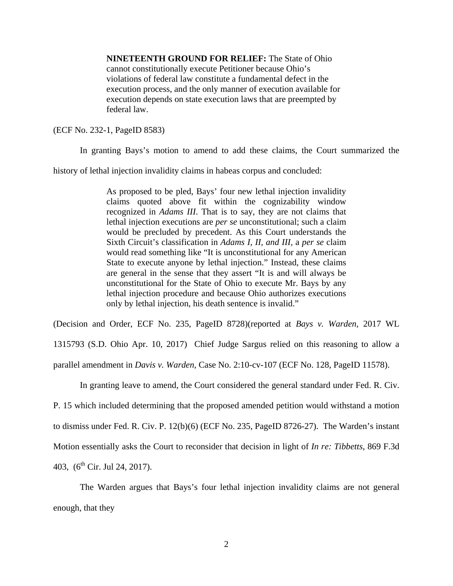**NINETEENTH GROUND FOR RELIEF:** The State of Ohio cannot constitutionally execute Petitioner because Ohio's violations of federal law constitute a fundamental defect in the execution process, and the only manner of execution available for execution depends on state execution laws that are preempted by federal law.

(ECF No. 232-1, PageID 8583)

In granting Bays's motion to amend to add these claims, the Court summarized the

history of lethal injection invalidity claims in habeas corpus and concluded:

As proposed to be pled, Bays' four new lethal injection invalidity claims quoted above fit within the cognizability window recognized in *Adams III*. That is to say, they are not claims that lethal injection executions are *per se* unconstitutional; such a claim would be precluded by precedent. As this Court understands the Sixth Circuit's classification in *Adams I, II, and III,* a *per se* claim would read something like "It is unconstitutional for any American State to execute anyone by lethal injection." Instead, these claims are general in the sense that they assert "It is and will always be unconstitutional for the State of Ohio to execute Mr. Bays by any lethal injection procedure and because Ohio authorizes executions only by lethal injection, his death sentence is invalid."

(Decision and Order, ECF No. 235, PageID 8728)(reported at *Bays v. Warden,* 2017 WL

1315793 (S.D. Ohio Apr. 10, 2017) Chief Judge Sargus relied on this reasoning to allow a parallel amendment in *Davis v. Warden*, Case No. 2:10-cv-107 (ECF No. 128, PageID 11578).

In granting leave to amend, the Court considered the general standard under Fed. R. Civ.

P. 15 which included determining that the proposed amended petition would withstand a motion

to dismiss under Fed. R. Civ. P. 12(b)(6) (ECF No. 235, PageID 8726-27). The Warden's instant

Motion essentially asks the Court to reconsider that decision in light of *In re: Tibbetts*, 869 F.3d

403,  $(6^{th}$  Cir. Jul 24, 2017).

 The Warden argues that Bays's four lethal injection invalidity claims are not general enough, that they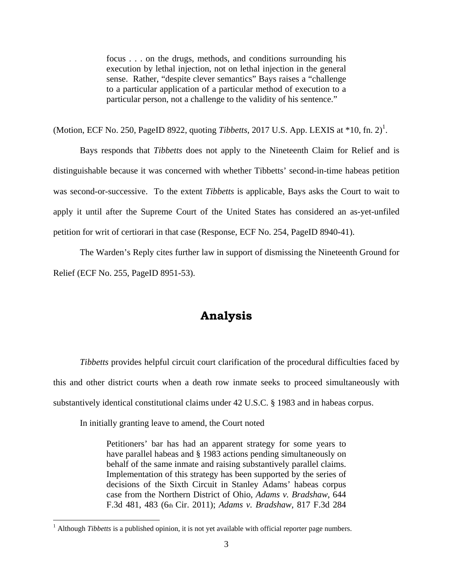focus . . . on the drugs, methods, and conditions surrounding his execution by lethal injection, not on lethal injection in the general sense. Rather, "despite clever semantics" Bays raises a "challenge to a particular application of a particular method of execution to a particular person, not a challenge to the validity of his sentence."

(Motion, ECF No. 250, PageID 8922, quoting *Tibbetts*, 2017 U.S. App. LEXIS at  $*10$ , fn. 2)<sup>1</sup>.

 Bays responds that *Tibbetts* does not apply to the Nineteenth Claim for Relief and is distinguishable because it was concerned with whether Tibbetts' second-in-time habeas petition was second-or-successive. To the extent *Tibbetts* is applicable, Bays asks the Court to wait to apply it until after the Supreme Court of the United States has considered an as-yet-unfiled petition for writ of certiorari in that case (Response, ECF No. 254, PageID 8940-41).

 The Warden's Reply cites further law in support of dismissing the Nineteenth Ground for Relief (ECF No. 255, PageID 8951-53).

# **Analysis**

*Tibbetts* provides helpful circuit court clarification of the procedural difficulties faced by this and other district courts when a death row inmate seeks to proceed simultaneously with substantively identical constitutional claims under 42 U.S.C. § 1983 and in habeas corpus.

In initially granting leave to amend, the Court noted

<u>.</u>

Petitioners' bar has had an apparent strategy for some years to have parallel habeas and § 1983 actions pending simultaneously on behalf of the same inmate and raising substantively parallel claims. Implementation of this strategy has been supported by the series of decisions of the Sixth Circuit in Stanley Adams' habeas corpus case from the Northern District of Ohio, *Adams v. Bradshaw*, 644 F.3d 481, 483 (6th Cir. 2011); *Adams v. Bradshaw*, 817 F.3d 284

<sup>&</sup>lt;sup>1</sup> Although *Tibbetts* is a published opinion, it is not yet available with official reporter page numbers.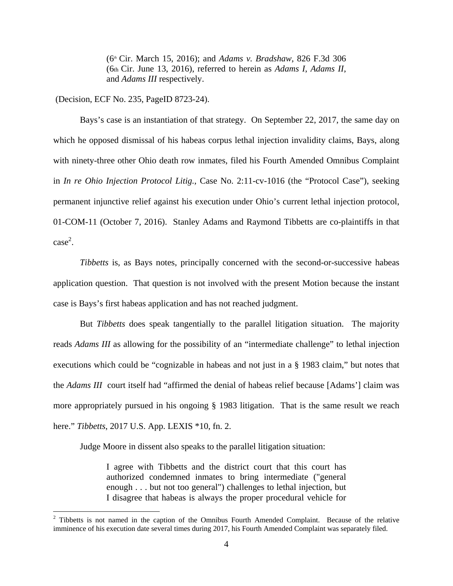(6th Cir. March 15, 2016); and *Adams v. Bradshaw*, 826 F.3d 306 (6th Cir. June 13, 2016), referred to herein as *Adams I*, *Adams II*, and *Adams III* respectively.

(Decision, ECF No. 235, PageID 8723-24).

<u>.</u>

Bays's case is an instantiation of that strategy. On September 22, 2017, the same day on which he opposed dismissal of his habeas corpus lethal injection invalidity claims, Bays, along with ninety-three other Ohio death row inmates, filed his Fourth Amended Omnibus Complaint in *In re Ohio Injection Protocol Litig.*, Case No. 2:11-cv-1016 (the "Protocol Case"), seeking permanent injunctive relief against his execution under Ohio's current lethal injection protocol, 01-COM-11 (October 7, 2016). Stanley Adams and Raymond Tibbetts are co-plaintiffs in that  $\csc^2$ .

*Tibbetts* is, as Bays notes, principally concerned with the second-or-successive habeas application question. That question is not involved with the present Motion because the instant case is Bays's first habeas application and has not reached judgment.

But *Tibbetts* does speak tangentially to the parallel litigation situation. The majority reads *Adams III* as allowing for the possibility of an "intermediate challenge" to lethal injection executions which could be "cognizable in habeas and not just in a § 1983 claim," but notes that the *Adams III* court itself had "affirmed the denial of habeas relief because [Adams'] claim was more appropriately pursued in his ongoing § 1983 litigation. That is the same result we reach here." *Tibbetts*, 2017 U.S. App. LEXIS \*10, fn. 2.

Judge Moore in dissent also speaks to the parallel litigation situation:

I agree with Tibbetts and the district court that this court has authorized condemned inmates to bring intermediate ("general enough . . . but not too general") challenges to lethal injection, but I disagree that habeas is always the proper procedural vehicle for

 $2$  Tibbetts is not named in the caption of the Omnibus Fourth Amended Complaint. Because of the relative imminence of his execution date several times during 2017, his Fourth Amended Complaint was separately filed.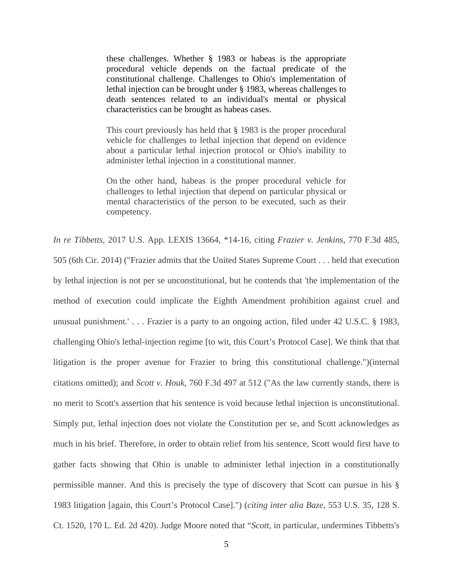these challenges. Whether § 1983 or habeas is the appropriate procedural vehicle depends on the factual predicate of the constitutional challenge. Challenges to Ohio's implementation of lethal injection can be brought under § 1983, whereas challenges to death sentences related to an individual's mental or physical characteristics can be brought as habeas cases.

This court previously has held that § 1983 is the proper procedural vehicle for challenges to lethal injection that depend on evidence about a particular lethal injection protocol or Ohio's inability to administer lethal injection in a constitutional manner.

On the other hand, habeas is the proper procedural vehicle for challenges to lethal injection that depend on particular physical or mental characteristics of the person to be executed, such as their competency.

*In re Tibbetts,* 2017 U.S. App. LEXIS 13664, \*14-16, citing *Frazier v. Jenkins*, 770 F.3d 485, 505 (6th Cir. 2014) ("Frazier admits that the United States Supreme Court . . . held that execution by lethal injection is not per se unconstitutional, but he contends that 'the implementation of the method of execution could implicate the Eighth Amendment prohibition against cruel and unusual punishment.' . . . Frazier is a party to an ongoing action, filed under 42 U.S.C. § 1983, challenging Ohio's lethal-injection regime [to wit, this Court's Protocol Case]. We think that that litigation is the proper avenue for Frazier to bring this constitutional challenge.")(internal citations omitted); and *Scott v. Houk*, 760 F.3d 497 at 512 ("As the law currently stands, there is no merit to Scott's assertion that his sentence is void because lethal injection is unconstitutional. Simply put, lethal injection does not violate the Constitution per se, and Scott acknowledges as much in his brief. Therefore, in order to obtain relief from his sentence, Scott would first have to gather facts showing that Ohio is unable to administer lethal injection in a constitutionally permissible manner. And this is precisely the type of discovery that Scott can pursue in his § 1983 litigation [again, this Court's Protocol Case].") (*citing inter alia Baze*, 553 U.S. 35, 128 S. Ct. 1520, 170 L. Ed. 2d 420). Judge Moore noted that "*Scott*, in particular, undermines Tibbetts's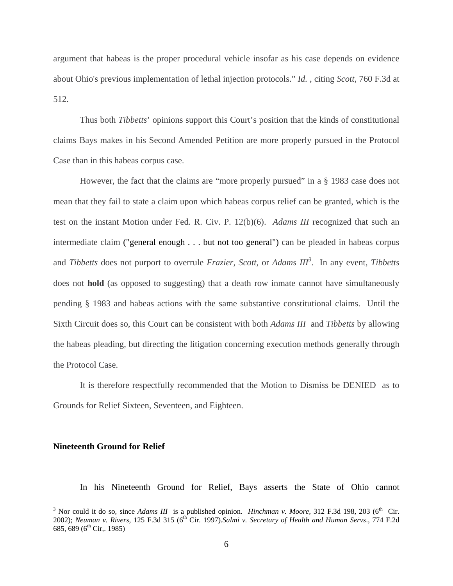argument that habeas is the proper procedural vehicle insofar as his case depends on evidence about Ohio's previous implementation of lethal injection protocols." *Id.* , citing *Scott*, 760 F.3d at 512.

Thus both *Tibbetts*' opinions support this Court's position that the kinds of constitutional claims Bays makes in his Second Amended Petition are more properly pursued in the Protocol Case than in this habeas corpus case.

However, the fact that the claims are "more properly pursued" in a § 1983 case does not mean that they fail to state a claim upon which habeas corpus relief can be granted, which is the test on the instant Motion under Fed. R. Civ. P. 12(b)(6). *Adams III* recognized that such an intermediate claim ("general enough . . . but not too general") can be pleaded in habeas corpus and *Tibbetts* does not purport to overrule *Frazier, Scott*, or *Adams III<sup>3</sup>* . In any event, *Tibbetts* does not **hold** (as opposed to suggesting) that a death row inmate cannot have simultaneously pending § 1983 and habeas actions with the same substantive constitutional claims. Until the Sixth Circuit does so, this Court can be consistent with both *Adams III* and *Tibbetts* by allowing the habeas pleading, but directing the litigation concerning execution methods generally through the Protocol Case.

It is therefore respectfully recommended that the Motion to Dismiss be DENIED as to Grounds for Relief Sixteen, Seventeen, and Eighteen.

#### **Nineteenth Ground for Relief**

In his Nineteenth Ground for Relief, Bays asserts the State of Ohio cannot

<sup>&</sup>lt;sup>3</sup> Nor could it do so, since *Adams III* is a published opinion. *Hinchman v. Moore*, 312 F.3d 198, 203 (6<sup>th</sup> Cir. 2002); *Neuman v. Rivers,* 125 F.3d 315 (6th Cir. 1997).*Salmi v. Secretary of Health and Human Servs*., 774 F.2d 685, 689 (6<sup>th</sup> Cir,. 1985)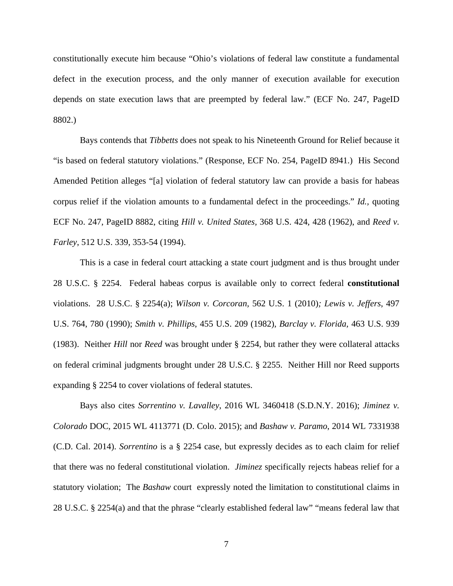constitutionally execute him because "Ohio's violations of federal law constitute a fundamental defect in the execution process, and the only manner of execution available for execution depends on state execution laws that are preempted by federal law." (ECF No. 247, PageID 8802.)

 Bays contends that *Tibbetts* does not speak to his Nineteenth Ground for Relief because it "is based on federal statutory violations." (Response, ECF No. 254, PageID 8941.) His Second Amended Petition alleges "[a] violation of federal statutory law can provide a basis for habeas corpus relief if the violation amounts to a fundamental defect in the proceedings." *Id.,* quoting ECF No. 247, PageID 8882, citing *Hill v. United States,* 368 U.S. 424, 428 (1962), and *Reed v. Farley*, 512 U.S. 339, 353-54 (1994).

 This is a case in federal court attacking a state court judgment and is thus brought under 28 U.S.C. § 2254. Federal habeas corpus is available only to correct federal **constitutional**  violations. 28 U.S.C. § 2254(a); *Wilson v. Corcoran,* 562 U.S. 1 (2010)*; Lewis v. Jeffers*, 497 U.S. 764, 780 (1990); *Smith v. Phillips*, 455 U.S. 209 (1982), *Barclay v. Florida,* 463 U.S. 939 (1983). Neither *Hill* nor *Reed* was brought under § 2254, but rather they were collateral attacks on federal criminal judgments brought under 28 U.S.C. § 2255. Neither Hill nor Reed supports expanding § 2254 to cover violations of federal statutes.

Bays also cites *Sorrentino v. Lavalley*, 2016 WL 3460418 (S.D.N.Y. 2016); *Jiminez v. Colorado* DOC, 2015 WL 4113771 (D. Colo. 2015); and *Bashaw v. Paramo*, 2014 WL 7331938 (C.D. Cal. 2014). *Sorrentino* is a § 2254 case, but expressly decides as to each claim for relief that there was no federal constitutional violation. *Jiminez* specifically rejects habeas relief for a statutory violation; The *Bashaw* court expressly noted the limitation to constitutional claims in 28 U.S.C. § 2254(a) and that the phrase "clearly established federal law" "means federal law that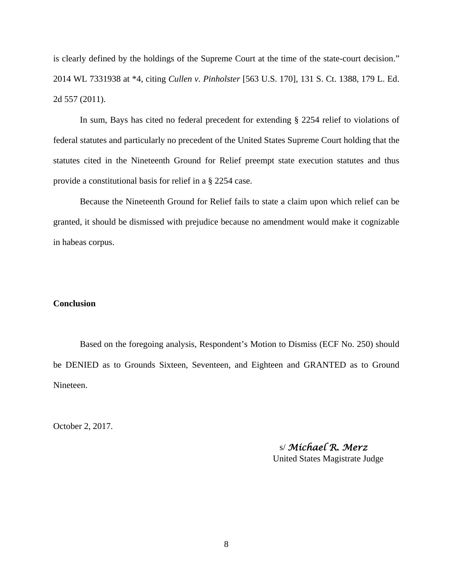is clearly defined by the holdings of the Supreme Court at the time of the state-court decision." 2014 WL 7331938 at \*4, citing *Cullen v. Pinholster* [563 U.S. 170], 131 S. Ct. 1388, 179 L. Ed. 2d 557 (2011).

In sum, Bays has cited no federal precedent for extending § 2254 relief to violations of federal statutes and particularly no precedent of the United States Supreme Court holding that the statutes cited in the Nineteenth Ground for Relief preempt state execution statutes and thus provide a constitutional basis for relief in a § 2254 case.

Because the Nineteenth Ground for Relief fails to state a claim upon which relief can be granted, it should be dismissed with prejudice because no amendment would make it cognizable in habeas corpus.

### **Conclusion**

Based on the foregoing analysis, Respondent's Motion to Dismiss (ECF No. 250) should be DENIED as to Grounds Sixteen, Seventeen, and Eighteen and GRANTED as to Ground Nineteen.

October 2, 2017.

 s/ *Michael R. Merz* United States Magistrate Judge